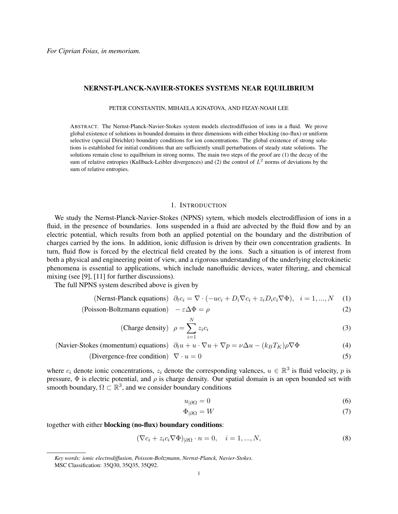## NERNST-PLANCK-NAVIER-STOKES SYSTEMS NEAR EQUILIBRIUM

PETER CONSTANTIN, MIHAELA IGNATOVA, AND FIZAY-NOAH LEE

ABSTRACT. The Nernst-Planck-Navier-Stokes system models electrodiffusion of ions in a fluid. We prove global existence of solutions in bounded domains in three dimensions with either blocking (no-flux) or uniform selective (special Dirichlet) boundary conditions for ion concentrations. The global existence of strong solutions is established for initial conditions that are sufficiently small perturbations of steady state solutions. The solutions remain close to equilbrium in strong norms. The main two steps of the proof are (1) the decay of the sum of relative entropies (Kullback-Leibler divergences) and (2) the control of  $L^2$  norms of deviations by the sum of relative entropies.

### 1. INTRODUCTION

We study the Nernst-Planck-Navier-Stokes (NPNS) sytem, which models electrodiffusion of ions in a fluid, in the presence of boundaries. Ions suspended in a fluid are advected by the fluid flow and by an electric potential, which results from both an applied potential on the boundary and the distribution of charges carried by the ions. In addition, ionic diffusion is driven by their own concentration gradients. In turn, fluid flow is forced by the electrical field created by the ions. Such a situation is of interest from both a physical and engineering point of view, and a rigorous understanding of the underlying electrokinetic phenomena is essential to applications, which include nanofluidic devices, water filtering, and chemical mixing (see [9], [11] for further discussions).

The full NPNS system described above is given by

(Nernst-Planck equations) 
$$
\partial_t c_i = \nabla \cdot (-uc_i + D_i \nabla c_i + z_i D_i c_i \nabla \Phi), \quad i = 1, ..., N
$$
 (1)

$$
(Poisson-Boltzmann equation) - \varepsilon \Delta \Phi = \rho
$$
 (2)

(Change density) 
$$
\rho = \sum_{i=1}^{N} z_i c_i
$$
 (3)

(Navier-Stokes (momentum) equations)  $\partial_t u + u \cdot \nabla u + \nabla p = \nu \Delta u - (k_B T_K) \rho \nabla \Phi$  (4)

(Divergence-free condition)  $\nabla \cdot u = 0$  (5)

where  $c_i$  denote ionic concentrations,  $z_i$  denote the corresponding valences,  $u \in \mathbb{R}^3$  is fluid velocity, p is pressure,  $\Phi$  is electric potential, and  $\rho$  is charge density. Our spatial domain is an open bounded set with smooth boundary,  $\Omega \subset \mathbb{R}^3$ , and we consider boundary conditions

<span id="page-0-4"></span><span id="page-0-2"></span><span id="page-0-1"></span><span id="page-0-0"></span>
$$
u_{|\partial\Omega} = 0 \tag{6}
$$

<span id="page-0-3"></span>
$$
\Phi_{|\partial\Omega} = W \tag{7}
$$

together with either blocking (no-flux) boundary conditions:

$$
(\nabla c_i + z_i c_i \nabla \Phi)_{|\partial \Omega} \cdot n = 0, \quad i = 1, ..., N,
$$
\n(8)

*Key words: ionic electrodiffusion, Poisson-Boltzmann, Nernst-Planck, Navier-Stokes.* MSC Classification: 35Q30, 35Q35, 35Q92.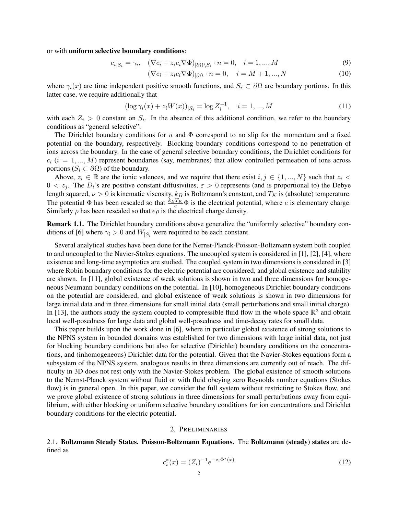or with uniform selective boundary conditions:

$$
c_{i|S_i} = \gamma_i, \quad (\nabla c_i + z_i c_i \nabla \Phi)_{|\partial \Omega \setminus S_i} \cdot n = 0, \quad i = 1, ..., M
$$
\n(9)

<span id="page-1-2"></span><span id="page-1-1"></span>
$$
(\nabla c_i + z_i c_i \nabla \Phi)_{|\partial \Omega} \cdot n = 0, \quad i = M+1, ..., N
$$
 (10)

where  $\gamma_i(x)$  are time independent positive smooth functions, and  $S_i \subset \partial\Omega$  are boundary portions. In this latter case, we require additionally that

$$
(\log \gamma_i(x) + z_i W(x))_{|S_i} = \log Z_i^{-1}, \quad i = 1, ..., M
$$
\n(11)

with each  $Z_i > 0$  constant on  $S_i$ . In the absence of this additional condition, we refer to the boundary conditions as "general selective".

The Dirichlet boundary conditions for u and  $\Phi$  correspond to no slip for the momentum and a fixed potential on the boundary, respectively. Blocking boundary conditions correspond to no penetration of ions across the boundary. In the case of general selective boundary conditions, the Dirichlet conditions for  $c_i$  (i = 1, ..., M) represent boundaries (say, membranes) that allow controlled permeation of ions across portions ( $S_i \subset \partial \Omega$ ) of the boundary.

Above,  $z_i \in \mathbb{R}$  are the ionic valences, and we require that there exist  $i, j \in \{1, ..., N\}$  such that  $z_i <$  $0 < z_j$ . The  $D_i$ 's are positive constant diffusivities,  $\varepsilon > 0$  represents (and is proportional to) the Debye length squared,  $\nu > 0$  is kinematic viscosity,  $k_B$  is Boltzmann's constant, and  $T_K$  is (absolute) temperature. The potential  $\Phi$  has been rescaled so that  $\frac{k_B T_K}{e} \Phi$  is the electrical potential, where e is elementary charge. Similarly  $\rho$  has been rescaled so that  $e\rho$  is the electrical charge density.

Remark 1.1. The Dirichlet boundary conditions above generalize the "uniformly selective" boundary conditions of [6] where  $\gamma_i > 0$  and  $W_{|S_i}$  were required to be each constant.

Several analytical studies have been done for the Nernst-Planck-Poisson-Boltzmann system both coupled to and uncoupled to the Navier-Stokes equations. The uncoupled system is considered in [1], [2], [4], where existence and long-time asymptotics are studied. The coupled system in two dimensions is considered in [3] where Robin boundary conditions for the electric potential are considered, and global existence and stability are shown. In [11], global existence of weak solutions is shown in two and three dimensions for homogeneous Neumann boundary conditions on the potential. In [10], homogeneous Dirichlet boundary conditions on the potential are considered, and global existence of weak solutions is shown in two dimensions for large initial data and in three dimensions for small initial data (small perturbations and small initial charge). In [13], the authors study the system coupled to compressible fluid flow in the whole space  $\mathbb{R}^3$  and obtain local well-posedness for large data and global well-posedness and time-decay rates for small data.

This paper builds upon the work done in [6], where in particular global existence of strong solutions to the NPNS system in bounded domains was established for two dimensions with large initial data, not just for blocking boundary conditions but also for selective (Dirichlet) boundary conditions on the concentrations, and (inhomogeneous) Dirichlet data for the potential. Given that the Navier-Stokes equations form a subsystem of the NPNS system, analogous results in three dimensions are currently out of reach. The difficulty in 3D does not rest only with the Navier-Stokes problem. The global existence of smooth solutions to the Nernst-Planck system without fluid or with fluid obeying zero Reynolds number equations (Stokes flow) is in general open. In this paper, we consider the full system without restricting to Stokes flow, and we prove global existence of strong solutions in three dimensions for small perturbations away from equilibrium, with either blocking or uniform selective boundary conditions for ion concentrations and Dirichlet boundary conditions for the electric potential.

## <span id="page-1-0"></span>2. PRELIMINARIES

2.1. Boltzmann Steady States. Poisson-Boltzmann Equations. The Boltzmann (steady) states are defined as

$$
c_i^*(x) = (Z_i)^{-1} e^{-z_i \Phi^*(x)}
$$
\n(12)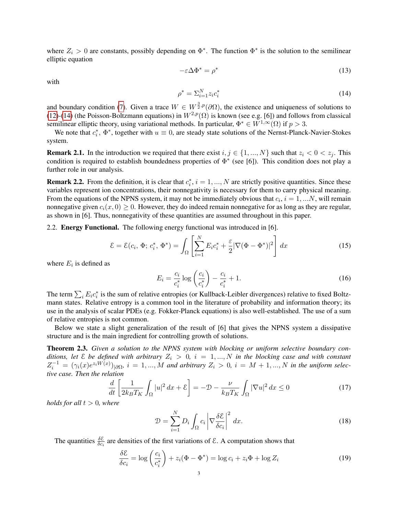where  $Z_i > 0$  are constants, possibly depending on  $\Phi^*$ . The function  $\Phi^*$  is the solution to the semilinear elliptic equation

<span id="page-2-1"></span><span id="page-2-0"></span>
$$
-\varepsilon \Delta \Phi^* = \rho^* \tag{13}
$$

with

$$
\rho^* = \sum_{i=1}^N z_i c_i^* \tag{14}
$$

and boundary condition [\(7\)](#page-0-0). Given a trace  $W \in W^{\frac{3}{2},p}(\partial\Omega)$ , the existence and uniqueness of solutions to [\(12\)](#page-1-0)-[\(14\)](#page-2-0) (the Poisson-Boltzmann equations) in  $W^{2,p}(\Omega)$  is known (see e.g. [6]) and follows from classical semilinear elliptic theory, using variational methods. In particular,  $\Phi^* \in W^{1,\infty}(\Omega)$  if  $p > 3$ .

We note that  $c_i^*$ ,  $\Phi^*$ , together with  $u \equiv 0$ , are steady state solutions of the Nernst-Planck-Navier-Stokes system.

**Remark 2.1.** In the introduction we required that there exist  $i, j \in \{1, ..., N\}$  such that  $z_i < 0 < z_j$ . This condition is required to establish boundedness properties of  $\Phi^*$  (see [6]). This condition does not play a further role in our analysis.

**Remark 2.2.** From the definition, it is clear that  $c_i^*$ ,  $i = 1, ..., N$  are strictly positive quantities. Since these variables represent ion concentrations, their nonnegativity is necessary for them to carry physical meaning. From the equations of the NPNS system, it may not be immediately obvious that  $c_i$ ,  $i = 1, ...N$ , will remain nonnegative given  $c_i(x, 0) \ge 0$ . However, they do indeed remain nonnegative for as long as they are regular, as shown in [6]. Thus, nonnegativity of these quantities are assumed throughout in this paper.

2.2. Energy Functional. The following energy functional was introduced in [6].

$$
\mathcal{E} = \mathcal{E}(c_i, \Phi; c_i^*, \Phi^*) = \int_{\Omega} \left[ \sum_{i=1}^{N} E_i c_i^* + \frac{\varepsilon}{2} |\nabla(\Phi - \Phi^*)|^2 \right] dx \tag{15}
$$

where  $E_i$  is defined as

$$
E_i = \frac{c_i}{c_i^*} \log \left( \frac{c_i}{c_i^*} \right) - \frac{c_i}{c_i^*} + 1.
$$
 (16)

The term  $\sum_i E_i c_i^*$  is the sum of relative entropies (or Kullback-Leibler divergences) relative to fixed Boltzmann states. Relative entropy is a common tool in the literature of probability and information theory; its use in the analysis of scalar PDEs (e.g. Fokker-Planck equations) is also well-established. The use of a sum of relative entropies is not common.

Below we state a slight generalization of the result of [6] that gives the NPNS system a dissipative structure and is the main ingredient for controlling growth of solutions.

<span id="page-2-2"></span>Theorem 2.3. *Given a solution to the NPNS system with blocking or uniform selective boundary conditions, let*  $\&$  *be defined with arbitrary*  $Z_i > 0$ ,  $i = 1, ..., N$  *in the blocking case and with constant*  $Z_i^{-1} = (\gamma_i(x)e^{z_i W(x)})_{|\partial \Omega}, i = 1, ..., M$  and arbitrary  $Z_i > 0, i = M + 1, ..., N$  in the uniform selec*tive case. Then the relation*

$$
\frac{d}{dt}\left[\frac{1}{2k_BT_K}\int_{\Omega}|u|^2\,dx+\mathcal{E}\right] = -\mathcal{D} - \frac{\nu}{k_BT_K}\int_{\Omega}|\nabla u|^2\,dx \le 0\tag{17}
$$

*holds for all*  $t > 0$ *, where* 

<span id="page-2-3"></span>
$$
\mathcal{D} = \sum_{i=1}^{N} D_i \int_{\Omega} c_i \left| \nabla \frac{\delta \mathcal{E}}{\delta c_i} \right|^2 dx.
$$
 (18)

The quantities  $\frac{\delta \mathcal{E}}{\delta c_i}$  are densities of the first variations of  $\mathcal{E}$ . A computation shows that

$$
\frac{\delta \mathcal{E}}{\delta c_i} = \log \left( \frac{c_i}{c_i^*} \right) + z_i (\Phi - \Phi^*) = \log c_i + z_i \Phi + \log Z_i \tag{19}
$$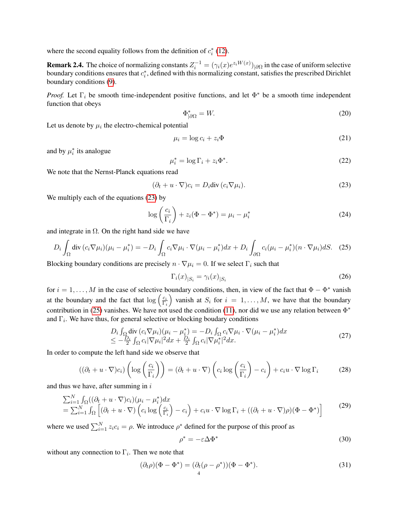where the second equality follows from the definition of  $c_i^*$  [\(12\)](#page-1-0).

**Remark 2.4.** The choice of normalizing constants  $Z_i^{-1} = (\gamma_i(x)e^{z_iW(x)})_{|\partial\Omega}$  in the case of uniform selective boundary conditions ensures that  $c_i^*$ , defined with this normalizing constant, satisfies the prescribed Dirichlet boundary conditions [\(9\)](#page-1-1).

*Proof.* Let  $\Gamma_i$  be smooth time-independent positive functions, and let  $\Phi^*$  be a smooth time independent function that obeys

<span id="page-3-3"></span>
$$
\Phi_{|\partial\Omega}^* = W.\tag{20}
$$

Let us denote by  $\mu_i$  the electro-chemical potential

$$
\mu_i = \log c_i + z_i \Phi \tag{21}
$$

and by  $\mu_i^*$  its analogue

$$
\mu_i^* = \log \Gamma_i + z_i \Phi^*.
$$
 (22)

We note that the Nernst-Planck equations read

<span id="page-3-0"></span>
$$
(\partial_t + u \cdot \nabla)c_i = D_i \text{div}(c_i \nabla \mu_i).
$$
 (23)

We multiply each of the equations [\(23\)](#page-3-0) by

$$
\log\left(\frac{c_i}{\Gamma_i}\right) + z_i(\Phi - \Phi^*) = \mu_i - \mu_i^*
$$
\n(24)

and integrate in  $\Omega$ . On the right hand side we have

<span id="page-3-1"></span>
$$
D_i \int_{\Omega} \operatorname{div} \left( c_i \nabla \mu_i \right) (\mu_i - \mu_i^*) = -D_i \int_{\Omega} c_i \nabla \mu_i \cdot \nabla (\mu_i - \mu_i^*) dx + D_i \int_{\partial \Omega} c_i (\mu_i - \mu_i^*) (n \cdot \nabla \mu_i) dS. \tag{25}
$$

Blocking boundary conditions are precisely  $n \cdot \nabla \mu_i = 0$ . If we select  $\Gamma_i$  such that

<span id="page-3-6"></span>
$$
\Gamma_i(x)_{|S_i} = \gamma_i(x)_{|S_i} \tag{26}
$$

for  $i = 1, \ldots, M$  in the case of selective boundary conditions, then, in view of the fact that  $\Phi - \Phi^*$  vanish at the boundary and the fact that  $\log \left( \frac{c_i}{\Gamma} \right)$  $\Gamma_i$ ) vanish at  $S_i$  for  $i = 1, \ldots, M$ , we have that the boundary contribution in [\(25\)](#page-3-1) vanishes. We have not used the condition [\(11\)](#page-1-2), nor did we use any relation between  $\Phi^*$ and  $\Gamma_i$ . We have thus, for general selective or blocking boudary conditions

<span id="page-3-5"></span>
$$
D_i \int_{\Omega} \text{div} \, (c_i \nabla \mu_i)(\mu_i - \mu_i^*) = -D_i \int_{\Omega} c_i \nabla \mu_i \cdot \nabla (\mu_i - \mu_i^*) dx
$$
  

$$
\leq -\frac{D_i}{2} \int_{\Omega} c_i |\nabla \mu_i|^2 dx + \frac{D_i}{2} \int_{\Omega} c_i |\nabla \mu_i^*|^2 dx.
$$
 (27)

In order to compute the left hand side we observe that

$$
((\partial_t + u \cdot \nabla)c_i) \left(\log\left(\frac{c_i}{\Gamma_i}\right)\right) = (\partial_t + u \cdot \nabla) \left(c_i \log\left(\frac{c_i}{\Gamma_i}\right) - c_i\right) + c_i u \cdot \nabla \log \Gamma_i \tag{28}
$$

and thus we have, after summing in  $i$ 

<span id="page-3-4"></span>
$$
\sum_{i=1}^{N} \int_{\Omega} ((\partial_t + u \cdot \nabla)c_i)(\mu_i - \mu_i^*) dx
$$
\n
$$
= \sum_{i=1}^{N} \int_{\Omega} \left[ (\partial_t + u \cdot \nabla) \left( c_i \log \left( \frac{c_i}{\Gamma_i} \right) - c_i \right) + c_i u \cdot \nabla \log \Gamma_i + ((\partial_t + u \cdot \nabla)\rho)(\Phi - \Phi^*) \right]
$$
\n(29)

where we used  $\sum_{i=1}^{N} z_i c_i = \rho$ . We introduce  $\rho^*$  defined for the purpose of this proof as

<span id="page-3-2"></span>
$$
\rho^* = -\varepsilon \Delta \Phi^* \tag{30}
$$

without any connection to  $\Gamma_i$ . Then we note that

$$
(\partial_t \rho)(\Phi - \Phi^*) = (\partial_t (\rho - \rho^*)) (\Phi - \Phi^*).
$$
\n(31)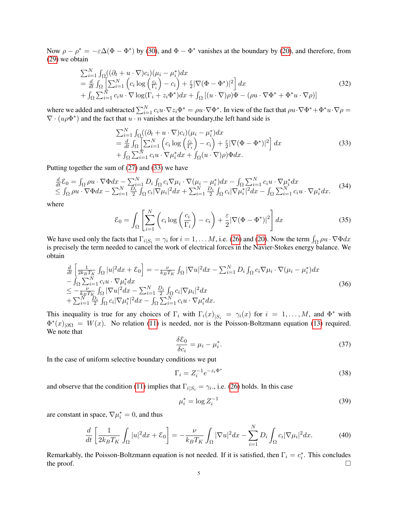Now  $\rho - \rho^* = -\varepsilon \Delta (\Phi - \Phi^*)$  by [\(30\)](#page-3-2), and  $\Phi - \Phi^*$  vanishes at the boundary by [\(20\)](#page-3-3), and therefore, from [\(29\)](#page-3-4) we obtain

$$
\sum_{i=1}^{N} \int_{\Omega} \left( (\partial_t + u \cdot \nabla) c_i \right) (\mu_i - \mu_i^*) dx
$$
\n
$$
= \frac{d}{dt} \int_{\Omega} \left[ \sum_{i=1}^{N} \left( c_i \log \left( \frac{c_i}{\Gamma_i} \right) - c_i \right) + \frac{\varepsilon}{2} |\nabla (\Phi - \Phi^*)|^2 \right] dx
$$
\n
$$
+ \int_{\Omega} \sum_{i=1}^{N} c_i u \cdot \nabla \log(\Gamma_i + z_i \Phi^*) dx + \int_{\Omega} \left[ (u \cdot \nabla) \rho \right] \Phi - (\rho u \cdot \nabla \Phi^* + \Phi^* u \cdot \nabla \rho) ]
$$
\n(32)

where we added and subtracted  $\sum_{i=1}^{N} c_i u \cdot \nabla z_i \Phi^* = \rho u \cdot \nabla \Phi^*$ . In view of the fact that  $\rho u \cdot \nabla \Phi^* + \Phi^* u \cdot \nabla \rho =$  $\nabla \cdot (u \rho \Phi^*)$  and the fact that  $u \cdot \overline{n}$  vanishes at the boundary, the left hand side is

<span id="page-4-0"></span>
$$
\sum_{i=1}^{N} \int_{\Omega} \left( (\partial_t + u \cdot \nabla) c_i \right) (\mu_i - \mu_i^*) dx \n= \frac{d}{dt} \int_{\Omega} \left[ \sum_{i=1}^{N} \left( c_i \log \left( \frac{c_i}{\Gamma_i} \right) - c_i \right) + \frac{\varepsilon}{2} |\nabla (\Phi - \Phi^*)|^2 \right] dx \n+ \int_{\Omega} \sum_{i=1}^{N} c_i u \cdot \nabla \mu_i^* dx + \int_{\Omega} (u \cdot \nabla) \rho \, d\xi.
$$
\n(33)

Putting together the sum of [\(27\)](#page-3-5) and [\(33\)](#page-4-0) we have

$$
\frac{d}{dt}\mathcal{E}_0 = \int_{\Omega} \rho u \cdot \nabla \Phi dx - \sum_{i=1}^N D_i \int_{\Omega} c_i \nabla \mu_i \cdot \nabla (\mu_i - \mu_i^*) dx - \int_{\Omega} \sum_{i=1}^N c_i u \cdot \nabla \mu_i^* dx \n\leq \int_{\Omega} \rho u \cdot \nabla \Phi dx - \sum_{i=1}^N \frac{D_i}{2} \int_{\Omega} c_i |\nabla \mu_i|^2 dx + \sum_{i=1}^N \frac{D_i}{2} \int_{\Omega} c_i |\nabla \mu_i^*|^2 dx - \int_{\Omega} \sum_{i=1}^N c_i u \cdot \nabla \mu_i^* dx.
$$
\n(34)

where

$$
\mathcal{E}_0 = \int_{\Omega} \left[ \sum_{i=1}^{N} \left( c_i \log \left( \frac{c_i}{\Gamma_i} \right) - c_i \right) + \frac{\varepsilon}{2} |\nabla (\Phi - \Phi^*)|^2 \right] dx \tag{35}
$$

We have used only the facts that  $\Gamma_{i|S_i} = \gamma_i$  for  $i = 1, \dots M$ , i.e. [\(26\)](#page-3-6) and [\(20\)](#page-3-3). Now the term  $\int_{\Omega} \rho u \cdot \nabla \Phi dx$ is precisely the term needed to cancel the work of electrical forces in the Navier-Stokes energy balance. We obtain

$$
\begin{split}\n\frac{d}{dt} \left[ \frac{1}{2k_B T_K} \int_{\Omega} |u|^2 dx + \mathcal{E}_0 \right] &= -\frac{\nu}{k_B T_K} \int_{\Omega} |\nabla u|^2 dx - \sum_{i=1}^N D_i \int_{\Omega} c_i \nabla \mu_i \cdot \nabla (\mu_i - \mu_i^*) dx \\
&- \int_{\Omega} \sum_{i=1}^N c_i u \cdot \nabla \mu_i^* dx \\
&\leq -\frac{\nu}{k_B T_K} \int_{\Omega} |\nabla u|^2 dx - \sum_{i=1}^N \frac{D_i}{2} \int_{\Omega} c_i |\nabla \mu_i|^2 dx \\
&+ \sum_{i=1}^N \frac{D_i}{2} \int_{\Omega} c_i |\nabla \mu_i^*|^2 dx - \int_{\Omega} \sum_{i=1}^N c_i u \cdot \nabla \mu_i^* dx.\n\end{split} \tag{36}
$$

This inequality is true for any choices of  $\Gamma_i$  with  $\Gamma_i(x)_{|S_i} = \gamma_i(x)$  for  $i = 1, \ldots, M$ , and  $\Phi^*$  with  $\Phi^*(x)_{|\partial\Omega} = W(x)$ . No relation [\(11\)](#page-1-2) is needed, nor is the Poisson-Boltzmann equation [\(13\)](#page-2-1) required. We note that

$$
\frac{\delta \mathcal{E}_0}{\delta c_i} = \mu_i - \mu_i^*.
$$
\n(37)

In the case of uniform selective boundary conditions we put

$$
\Gamma_i = Z_i^{-1} e^{-z_i \Phi^*} \tag{38}
$$

and observe that the condition [\(11\)](#page-1-2) implies that  $\Gamma_{i|S_i} = \gamma_i$ ., i.e. [\(26\)](#page-3-6) holds. In this case

$$
\mu_i^* = \log Z_i^{-1} \tag{39}
$$

are constant in space,  $\nabla \mu_i^* = 0$ , and thus

$$
\frac{d}{dt}\left[\frac{1}{2k_BT_K}\int_{\Omega}|u|^2dx+\mathcal{E}_0\right] = -\frac{\nu}{k_BT_K}\int_{\Omega}|\nabla u|^2dx-\sum_{i=1}^N D_i\int_{\Omega}c_i|\nabla\mu_i|^2dx.\tag{40}
$$

Remarkably, the Poisson-Boltzmann equation is not needed. If it is satisfied, then  $\Gamma_i = c_i^*$ . This concludes the proof.  $\Box$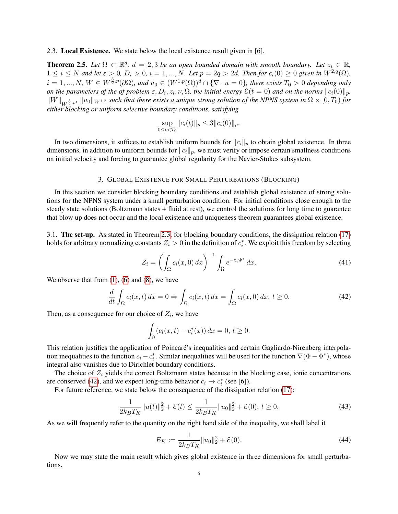2.3. Local Existence. We state below the local existence result given in [6].

<span id="page-5-1"></span>**Theorem 2.5.** Let  $\Omega \subset \mathbb{R}^d$ ,  $d = 2, 3$  be an open bounded domain with smooth boundary. Let  $z_i \in \mathbb{R}$ ,  $1 \leq i \leq N$  and let  $\varepsilon > 0$ ,  $D_i > 0$ ,  $i = 1, ..., N$ . Let  $p = 2q > 2d$ . Then for  $c_i(0) \geq 0$  given in  $W^{2,q}(\Omega)$ ,  $i = 1, ..., N$ ,  $W \in W^{\frac{3}{2}, p}(\partial \Omega)$ , and  $u_0 \in (W^{1,p}(\Omega))^d \cap {\{\nabla \cdot u = 0\}}$ , there exists  $T_0 > 0$  depending only *on the parameters of the of problem*  $\varepsilon, D_i, z_i, \nu, \Omega$ , the initial energy  $\mathcal{E}(t=0)$  and on the norms  $\|c_i(0)\|_p$ ,  $\|W\|_{W^{\frac{3}{2},p}}$ ,  $\|u_0\|_{W^{1,2}}$  such that there exists a unique strong solution of the NPNS system in  $\Omega\times[0,T_0)$  for *either blocking or uniform selective boundary conditions, satisfying*

$$
\sup_{0\leq t
$$

In two dimensions, it suffices to establish uniform bounds for  $||c_i||_p$  to obtain global existence. In three dimensions, in addition to uniform bounds for  $||c_i||_p$ , we must verify or impose certain smallness conditions on initial velocity and forcing to guarantee global regularity for the Navier-Stokes subsystem.

### 3. GLOBAL EXISTENCE FOR SMALL PERTURBATIONS (BLOCKING)

In this section we consider blocking boundary conditions and establish global existence of strong solutions for the NPNS system under a small perturbation condition. For initial conditions close enough to the steady state solutions (Boltzmann states + fluid at rest), we control the solutions for long time to guarantee that blow up does not occur and the local existence and uniqueness theorem guarantees global existence.

3.1. The set-up. As stated in Theorem [2.3,](#page-2-2) for blocking boundary conditions, the dissipation relation [\(17\)](#page-2-3) holds for arbitrary normalizing constants  $Z_i > 0$  in the definition of  $c_i^*$ . We exploit this freedom by selecting

$$
Z_i = \left(\int_{\Omega} c_i(x,0) dx\right)^{-1} \int_{\Omega} e^{-z_i \Phi^*} dx.
$$
 (41)

We observe that from  $(1)$ ,  $(6)$  and  $(8)$ , we have

$$
\frac{d}{dt} \int_{\Omega} c_i(x, t) dx = 0 \Rightarrow \int_{\Omega} c_i(x, t) dx = \int_{\Omega} c_i(x, 0) dx, t \ge 0.
$$
\n(42)

Then, as a consequence for our choice of  $Z_i$ , we have

<span id="page-5-0"></span>
$$
\int_{\Omega} (c_i(x, t) - c_i^*(x)) dx = 0, t \ge 0.
$$

This relation justifies the application of Poincare's inequalities and certain Gagliardo-Nirenberg interpola- ´ tion inequalities to the function  $c_i - c_i^*$ . Similar inequalities will be used for the function  $\nabla (\Phi - \Phi^*)$ , whose integral also vanishes due to Dirichlet boundary conditions.

The choice of  $Z_i$  yields the correct Boltzmann states because in the blocking case, ionic concentrations are conserved [\(42\)](#page-5-0), and we expect long-time behavior  $c_i \rightarrow c_i^*$  (see [6]).

For future reference, we state below the consequence of the dissipation relation [\(17\)](#page-2-3):

$$
\frac{1}{2k_B T_K} \|u(t)\|_2^2 + \mathcal{E}(t) \le \frac{1}{2k_B T_K} \|u_0\|_2^2 + \mathcal{E}(0), \ t \ge 0. \tag{43}
$$

As we will frequently refer to the quantity on the right hand side of the inequality, we shall label it

<span id="page-5-2"></span>
$$
E_K := \frac{1}{2k_B T_K} \|u_0\|_2^2 + \mathcal{E}(0). \tag{44}
$$

Now we may state the main result which gives global existence in three dimensions for small perturbations.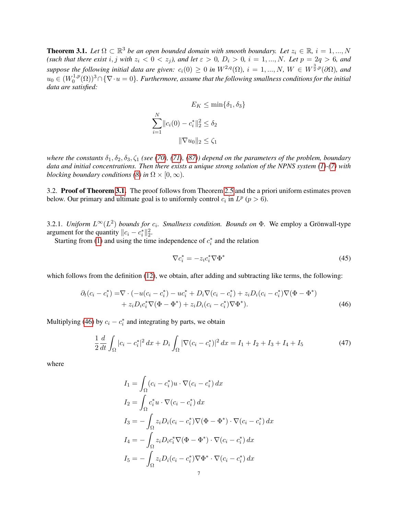<span id="page-6-0"></span>**Theorem 3.1.** Let  $\Omega \subset \mathbb{R}^3$  be an open bounded domain with smooth boundary. Let  $z_i \in \mathbb{R}$ ,  $i = 1, ..., N$ (such that there exist i, j with  $z_i < 0 < z_j$ ), and let  $\varepsilon > 0$ ,  $D_i > 0$ ,  $i = 1, ..., N$ . Let  $p = 2q > 6$ , and *suppose the following initial data are given:*  $c_i(0) \ge 0$  *in*  $W^{2,q}(\Omega)$ ,  $i = 1,...,N$ ,  $W \in W^{\frac{3}{2},p}(\partial \Omega)$ , and  $u_0 \in (W_0^{1,p}$  $\int_0^{1,p}(\Omega))^3\cap\{\nabla\cdot u=0\}.$  Furthermore, assume that the following smallness conditions for the initial *data are satisfied:*

$$
E_K \le \min\{\delta_1, \delta_3\}
$$
  

$$
\sum_{i=1}^N ||c_i(0) - c_i^*||_2^2 \le \delta_2
$$
  

$$
||\nabla u_0||_2 \le \zeta_1
$$

*where the constants*  $\delta_1, \delta_2, \delta_3, \zeta_1$  *(see [\(70\)](#page-8-0), [\(71\)](#page-9-0), [\(87\)](#page-11-0)) depend on the parameters of the problem, boundary data and initial concentrations. Then there exists a unique strong solution of the NPNS system [\(1\)](#page-0-1)-[\(7\)](#page-0-0) with blocking boundary conditions [\(8\)](#page-0-3) in*  $\Omega \times [0, \infty)$ *.* 

3.2. Proof of Theorem [3.1.](#page-6-0) The proof follows from Theorem [2.5](#page-5-1) and the a priori uniform estimates proven below. Our primary and ultimate goal is to uniformly control  $c_i$  in  $L^p$  ( $p > 6$ ).

3.2.1. *Uniform*  $L^{\infty}(L^2)$  *bounds for*  $c_i$ . *Smallness condition. Bounds on*  $\Phi$ . We employ a Grönwall-type argument for the quantity  $||c_i - c_i^*||_2^2$ .

Starting from [\(1\)](#page-0-1) and using the time independence of  $c_i^*$  and the relation

<span id="page-6-2"></span><span id="page-6-1"></span>
$$
\nabla c_i^* = -z_i c_i^* \nabla \Phi^* \tag{45}
$$

which follows from the definition [\(12\)](#page-1-0), we obtain, after adding and subtracting like terms, the following:

$$
\partial_t (c_i - c_i^*) = \nabla \cdot (-u(c_i - c_i^*) - uc_i^* + D_i \nabla (c_i - c_i^*) + z_i D_i (c_i - c_i^*) \nabla (\Phi - \Phi^*) \n+ z_i D_i c_i^* \nabla (\Phi - \Phi^*) + z_i D_i (c_i - c_i^*) \nabla \Phi^*).
$$
\n(46)

Multiplying [\(46\)](#page-6-1) by  $c_i - c_i^*$  and integrating by parts, we obtain

$$
\frac{1}{2}\frac{d}{dt}\int_{\Omega}|c_i - c_i^*|^2 dx + D_i \int_{\Omega} |\nabla (c_i - c_i^*)|^2 dx = I_1 + I_2 + I_3 + I_4 + I_5 \tag{47}
$$

where

$$
I_1 = \int_{\Omega} (c_i - c_i^*) u \cdot \nabla (c_i - c_i^*) dx
$$
  
\n
$$
I_2 = \int_{\Omega} c_i^* u \cdot \nabla (c_i - c_i^*) dx
$$
  
\n
$$
I_3 = -\int_{\Omega} z_i D_i (c_i - c_i^*) \nabla (\Phi - \Phi^*) \cdot \nabla (c_i - c_i^*) dx
$$
  
\n
$$
I_4 = -\int_{\Omega} z_i D_i c_i^* \nabla (\Phi - \Phi^*) \cdot \nabla (c_i - c_i^*) dx
$$
  
\n
$$
I_5 = -\int_{\Omega} z_i D_i (c_i - c_i^*) \nabla \Phi^* \cdot \nabla (c_i - c_i^*) dx
$$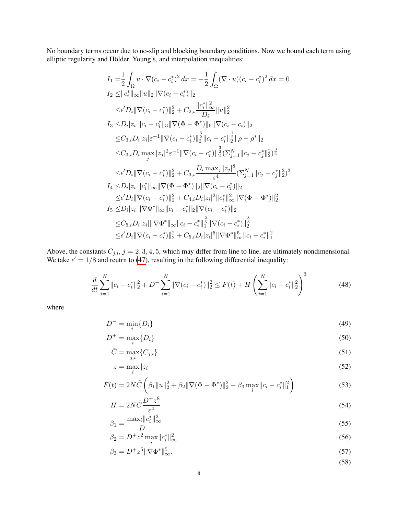No boundary terms occur due to no-slip and blocking boundary conditions. Now we bound each term using elliptic regularity and Hölder, Young's, and interpolation inequalities:

$$
I_{1} = \frac{1}{2} \int_{\Omega} u \cdot \nabla (c_{i} - c_{i}^{*})^{2} dx = -\frac{1}{2} \int_{\Omega} (\nabla \cdot u)(c_{i} - c_{i}^{*})^{2} dx = 0
$$
  
\n
$$
I_{2} \leq ||c_{i}^{*}||_{\infty} ||u||_{2} ||\nabla (c_{i} - c_{i}^{*})||_{2}
$$
  
\n
$$
\leq \epsilon' D_{i} ||\nabla (c_{i} - c_{i}^{*})||_{2}^{2} + C_{2,i} \frac{||c_{i}^{*}||_{\infty}^{2}}{D_{i}} ||u||_{2}^{2}
$$
  
\n
$$
I_{3} \leq D_{i}|z_{i}|| |c_{i} - c_{i}^{*}||_{3} ||\nabla (\Phi - \Phi^{*})||_{6} ||\nabla (c_{i} - c_{i})||_{2}
$$
  
\n
$$
\leq C_{3,i} D_{i} |z_{i}| \varepsilon^{-1} ||\nabla (c_{i} - c_{i}^{*})||_{2}^{\frac{3}{2}} ||c_{i} - c_{i}^{*}||_{2}^{\frac{1}{2}} ||\rho - \rho^{*}||_{2}
$$
  
\n
$$
\leq C_{3,i} D_{i} \max |z_{j}|^{2} \varepsilon^{-1} ||\nabla (c_{i} - c_{i}^{*})||_{2}^{\frac{3}{2}} (\Sigma_{j=1}^{N} ||c_{j} - c_{j}^{*}||_{2}^{2})^{\frac{3}{4}}
$$
  
\n
$$
\leq \epsilon' D_{i} ||\nabla (c_{i} - c_{i}^{*})||_{2}^{2} + C_{3,i} \frac{D_{i} \max_{j} |z_{j}|^{8}}{\varepsilon^{4}} (\Sigma_{j=1}^{N} ||c_{j} - c_{j}^{*}||_{2}^{2})^{3}
$$
  
\n
$$
I_{4} \leq D_{i} |z_{i}|| |c_{i}^{*}||_{\infty} ||\nabla (\Phi - \Phi^{*})||_{2} ||\nabla (c_{i} - c_{i}^{*})||_{2}
$$
  
\n
$$
\leq \epsilon' D_{i} ||\nabla (c_{i} - c_{i}^{*})||_{2}^{2} + C_{
$$

Above, the constants  $C_{j,i}$ ,  $j = 2, 3, 4, 5$ , which may differ from line to line, are ultimately nondimensional. We take  $\epsilon' = 1/8$  and reutrn to [\(47\)](#page-6-2), resulting in the following differential inequality:

$$
\frac{d}{dt} \sum_{i=1}^{N} ||c_i - c_i^*||_2^2 + D \sum_{i=1}^{N} ||\nabla (c_i - c_i^*)||_2^2 \le F(t) + H \left(\sum_{i=1}^{N} ||c_i - c_i^*||_2^2\right)^3 \tag{48}
$$

where

$$
D^{-} = \min_{i} \{D_i\} \tag{49}
$$

$$
D^{+} = \max_{i} \{D_{i}\} \tag{50}
$$

$$
\tilde{C} = \max_{j,i} \{ C_{j,i} \} \tag{51}
$$

$$
z = \max_{i} |z_i| \tag{52}
$$

$$
F(t) = 2N\tilde{C}\left(\beta_1\|u\|_2^2 + \beta_2\|\nabla(\Phi - \Phi^*)\|_2^2 + \beta_3\max_i\|c_i - c_i^*\|_1^2\right)
$$
(53)

$$
H = 2N\tilde{C}\frac{D^+z^8}{\varepsilon^4} \tag{54}
$$

$$
\beta_1 = \frac{\max_i \|c_i^*\|_{\infty}^2}{D^-}
$$
\n(55)

$$
\beta_2 = D^+ z^2 \max_i \|c_i^*\|_{\infty}^2 \tag{56}
$$

$$
\beta_3 = D^+ z^5 \|\nabla \Phi^*\|_{\infty}^5. \tag{57}
$$

<span id="page-7-0"></span>
$$
(58)
$$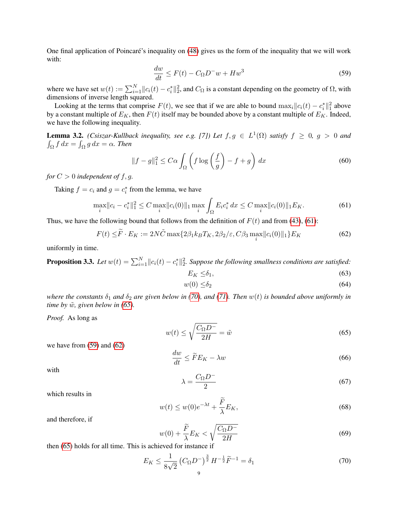One final application of Poincaré's inequality on [\(48\)](#page-7-0) gives us the form of the inequality that we will work with:

<span id="page-8-3"></span>
$$
\frac{dw}{dt} \le F(t) - C_{\Omega}D^{-}w + Hw^{3}
$$
\n(59)

where we have set  $w(t) := \sum_{i=1}^{N} ||c_i(t) - c_i^*||_2^2$ , and  $C_{\Omega}$  is a constant depending on the geometry of  $\Omega$ , with dimensions of inverse length squared.

Looking at the terms that comprise  $F(t)$ , we see that if we are able to bound  $\max_i ||c_i(t) - c_i^*||_1^2$  above by a constant multiple of  $E_K$ , then  $F(t)$  itself may be bounded above by a constant multiple of  $E_K$ . Indeed, we have the following inequality.

<span id="page-8-5"></span>**Lemma 3.2.** *(Csiszar-Kullback inequality, see e.g. [7])* Let  $f, g \in L^1(\Omega)$  *satisfy*  $f \geq 0$ ,  $g > 0$  *and*  $\int_{\Omega} f \, dx = \int_{\Omega} g \, dx = \alpha$ . Then

$$
||f - g||_1^2 \le C\alpha \int_{\Omega} \left( f \log \left( \frac{f}{g} \right) - f + g \right) dx \tag{60}
$$

*for*  $C > 0$  *independent of f, q.* 

Taking  $f = c_i$  and  $g = c_i^*$  from the lemma, we have

$$
\max_{i} ||c_i - c_i^*||_1^2 \le C \max_{i} ||c_i(0)||_1 \max_{i} \int_{\Omega} E_i c_i^* dx \le C \max_{i} ||c_i(0)||_1 E_K.
$$
 (61)

Thus, we have the following bound that follows from the definition of  $F(t)$  and from [\(43\)](#page-5-2), [\(61\)](#page-8-1):

$$
F(t) \leq \widetilde{F} \cdot E_K := 2N\widetilde{C} \max\{2\beta_1 k_B T_K, 2\beta_2/\varepsilon, C\beta_3 \max_i \|c_i(0)\|_1\} E_K
$$
(62)

uniformly in time.

**Proposition 3.3.** Let  $w(t) = \sum_{i=1}^{N} ||c_i(t) - c_i^*||_2^2$ . Suppose the following smallness conditions are satisfied:

<span id="page-8-4"></span><span id="page-8-1"></span>
$$
E_K \leq \delta_1,\tag{63}
$$

$$
w(0) \le \delta_2 \tag{64}
$$

*where the constants*  $\delta_1$  *and*  $\delta_2$  *are given below in [\(70\)](#page-8-0), and [\(71\)](#page-9-0). Then*  $w(t)$  *is bounded above uniformly in time by*  $\tilde{w}$ *, given below in [\(65\)](#page-8-2).* 

*Proof.* As long as

<span id="page-8-2"></span>
$$
w(t) \le \sqrt{\frac{C_{\Omega}D^{-}}{2H}} = \tilde{w}
$$
\n(65)

we have from [\(59\)](#page-8-3) and [\(62\)](#page-8-4)

$$
\frac{dw}{dt} \le \widetilde{F}E_K - \lambda w \tag{66}
$$

with

$$
\lambda = \frac{C_{\Omega}D^{-}}{2} \tag{67}
$$

which results in

$$
w(t) \le w(0)e^{-\lambda t} + \frac{\overline{F}}{\lambda}E_K,
$$
\n(68)

and therefore, if

$$
w(0) + \frac{\widetilde{F}}{\lambda} E_K < \sqrt{\frac{C_\Omega D^-}{2H}} \tag{69}
$$

then [\(65\)](#page-8-2) holds for all time. This is achieved for instance if

<span id="page-8-0"></span>
$$
E_K \le \frac{1}{8\sqrt{2}} \left( C_{\Omega} D^{-} \right)^{\frac{3}{2}} H^{-\frac{1}{2}} \widetilde{F}^{-1} = \delta_1 \tag{70}
$$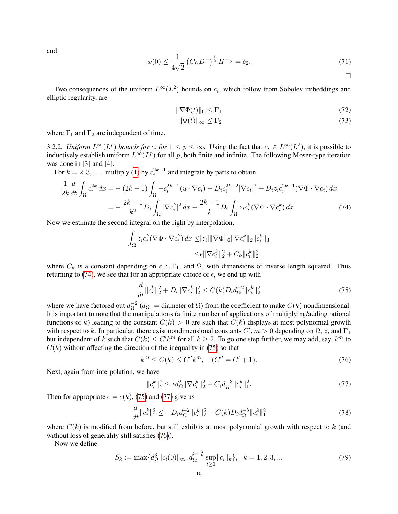and

<span id="page-9-0"></span>
$$
w(0) \le \frac{1}{4\sqrt{2}} \left( C_{\Omega} D^{-} \right)^{\frac{1}{2}} H^{-\frac{1}{2}} = \delta_2. \tag{71}
$$

<span id="page-9-7"></span><span id="page-9-6"></span><span id="page-9-1"></span> $\Box$ 

Two consequences of the uniform  $L^{\infty}(L^2)$  bounds on  $c_i$ , which follow from Sobolev imbeddings and elliptic regularity, are

$$
\|\nabla\Phi(t)\|_6 \le \Gamma_1 \tag{72}
$$

$$
\|\Phi(t)\|_{\infty} \le \Gamma_2 \tag{73}
$$

where  $\Gamma_1$  and  $\Gamma_2$  are independent of time.

<span id="page-9-8"></span>3.2.2. *Uniform*  $L^{\infty}(L^p)$  *bounds for*  $c_i$  *for*  $1 \leq p \leq \infty$ . Using the fact that  $c_i \in L^{\infty}(L^2)$ , it is possible to inductively establish uniform  $L^{\infty}(L^p)$  for all p, both finite and infinite. The following Moser-type iteration was done in [3] and [4].

For  $k = 2, 3, \ldots$ , multiply [\(1\)](#page-0-1) by  $c_i^{2k-1}$  and integrate by parts to obtain

$$
\frac{1}{2k} \frac{d}{dt} \int_{\Omega} c_i^{2k} dx = -(2k-1) \int_{\Omega} -c_i^{2k-1} (u \cdot \nabla c_i) + D_i c_i^{2k-2} |\nabla c_i|^2 + D_i z_i c_i^{2k-1} (\nabla \Phi \cdot \nabla c_i) dx
$$

$$
= -\frac{2k-1}{k^2} D_i \int_{\Omega} |\nabla c_i|^2 dx - \frac{2k-1}{k} D_i \int_{\Omega} z_i c_i^k (\nabla \Phi \cdot \nabla c_i^k) dx. \tag{74}
$$

Now we estimate the second integral on the right by interpolation,

$$
\int_{\Omega} z_i c_i^k (\nabla \Phi \cdot \nabla c_i^k) dx \leq |z_i| \|\nabla \Phi\|_6 \|\nabla c_i^k\|_2 \|c_i^k\|_3
$$
  

$$
\leq \epsilon \|\nabla c_i^k\|_2^2 + C_k \|c_i^k\|_2^2
$$

where  $C_k$  is a constant depending on  $\epsilon, z, \Gamma_1$ , and  $\Omega$ , with dimensions of inverse length squared. Thus returning to [\(74\)](#page-9-1), we see that for an appropriate choice of  $\epsilon$ , we end up with

<span id="page-9-2"></span>
$$
\frac{d}{dt} \|c_i^k\|_2^2 + D_i \|\nabla c_i^k\|_2^2 \le C(k) D_i d_{\Omega}^{-2} \|c_i^k\|_2^2 \tag{75}
$$

where we have factored out  $d_{\Omega}^{-2}$  $\overline{\Omega}^2$  ( $d_{\Omega}$  := diameter of  $\Omega$ ) from the coefficient to make  $C(k)$  nondimensional. It is important to note that the manipulations (a finite number of applications of multiplying/adding rational functions of k) leading to the constant  $C(k) > 0$  are such that  $C(k)$  displays at most polynomial growth with respect to k. In particular, there exist nondimensional constants  $C', m > 0$  depending on  $\Omega$ , z, and  $\Gamma_1$ but independent of k such that  $C(k) \leq C' k^m$  for all  $k \geq 2$ . To go one step further, we may add, say,  $k^m$  to  $C(k)$  without affecting the direction of the inequality in [\(75\)](#page-9-2) so that

$$
k^{m} \le C(k) \le C'' k^{m}, \quad (C'' = C' + 1). \tag{76}
$$

Next, again from interpolation, we have

<span id="page-9-5"></span><span id="page-9-4"></span><span id="page-9-3"></span>
$$
||c_i^k||_2^2 \le \epsilon d_\Omega^2 ||\nabla c_i^k||_2^2 + C_\epsilon d_\Omega^{-3} ||c_i^k||_1^2. \tag{77}
$$

Then for appropriate  $\epsilon = \epsilon(k)$ , [\(75\)](#page-9-2) and [\(77\)](#page-9-3) give us

$$
\frac{d}{dt} \|c_i^k\|_2^2 \le -D_i d_{\Omega}^{-2} \|c_i^k\|_2^2 + C(k) D_i d_{\Omega}^{-5} \|c_i^k\|_1^2 \tag{78}
$$

where  $C(k)$  is modified from before, but still exhibits at most polynomial growth with respect to k (and without loss of generality still satisfies  $(76)$ ).

Now we define

$$
S_k := \max\{d_{\Omega}^3 || c_i(0) ||_{\infty}, d_{\Omega}^{3-\frac{3}{k}} \sup_{t \ge 0} || c_i ||_k\}, \quad k = 1, 2, 3, \dots \tag{79}
$$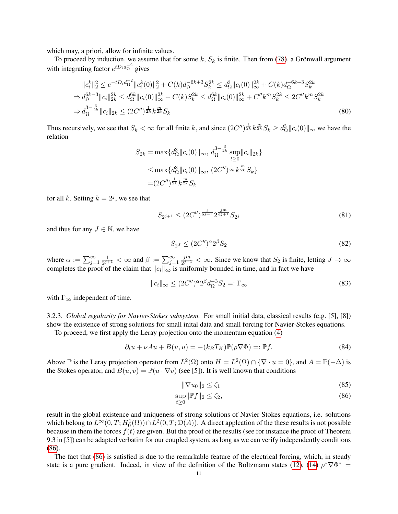which may, a priori, allow for infinite values.

To proceed by induction, we assume that for some k,  $S_k$  is finite. Then from [\(78\)](#page-9-5), a Grönwall argument with integrating factor  $e^{tD_i d_{\Omega}^{-2}}$  gives

$$
||c_i^k||_2^2 \le e^{-tD_i d_{\Omega}^{-2}} ||c_i^k(0)||_2^2 + C(k) d_{\Omega}^{-6k+3} S_k^{2k} \le d_{\Omega}^3 ||c_i(0)||_{\infty}^{2k} + C(k) d_{\Omega}^{-6k+3} S_k^{2k}
$$
  
\n
$$
\Rightarrow d_{\Omega}^{6k-3} ||c_i||_{2k}^{2k} \le d_{\Omega}^{6k} ||c_i(0)||_{\infty}^{2k} + C(k) S_k^{2k} \le d_{\Omega}^{6k} ||c_i(0)||_{\infty}^{2k} + C''k^m S_k^{2k} \le 2C''k^m S_k^{2k}
$$
  
\n
$$
\Rightarrow d_{\Omega}^{3-\frac{3}{2k}} ||c_i||_{2k} \le (2C'')^{\frac{1}{2k}} k^{\frac{m}{2k}} S_k
$$
\n(80)

Thus recursively, we see that  $S_k < \infty$  for all finite k, and since  $(2C'')^{\frac{1}{2k}} k^{\frac{m}{2k}} S_k \ge d_{\Omega}^3 ||c_i(0)||_{\infty}$  we have the relation

$$
S_{2k} = \max \{ d_{\Omega}^3 || c_i(0) ||_{\infty}, d_{\Omega}^{3-\frac{3}{2k}} \sup_{t \ge 0} || c_i ||_{2k} \}
$$
  

$$
\le \max \{ d_{\Omega}^3 || c_i(0) ||_{\infty}, (2C'')^{\frac{1}{2k}} k^{\frac{m}{2k}} S_k \}
$$
  

$$
= (2C'')^{\frac{1}{2k}} k^{\frac{m}{2k}} S_k
$$

for all k. Setting  $k = 2<sup>j</sup>$ , we see that

$$
S_{2^{j+1}} \le (2C'')^{\frac{1}{2^{j+1}}} 2^{\frac{jm}{2^{j+1}}} S_{2^j}
$$
\n(81)

and thus for any  $J \in \mathbb{N}$ , we have

$$
S_{2^J} \le (2C'')^{\alpha} 2^{\beta} S_2 \tag{82}
$$

where  $\alpha := \sum_{j=1}^{\infty} \frac{1}{2^{j}}$  $\frac{1}{2^{j+1}} < \infty$  and  $\beta := \sum_{j=1}^{\infty}$ jm  $\frac{jm}{2^{j+1}} < \infty$ . Since we know that  $S_2$  is finite, letting  $J \to \infty$ completes the proof of the claim that  $||c_i||_{\infty}$  is uniformly bounded in time, and in fact we have

$$
||c_i||_{\infty} \le (2C'')^{\alpha} 2^{\beta} d_{\Omega}^{-3} S_2 =: \Gamma_{\infty}
$$
\n(83)

with  $\Gamma_{\infty}$  independent of time.

3.2.3. *Global regularity for Navier-Stokes subsystem.* For small initial data, classical results (e.g. [5], [8]) show the existence of strong solutions for small inital data and small forcing for Navier-Stokes equations.

To proceed, we first apply the Leray projection onto the momentum equation [\(4\)](#page-0-4)

$$
\partial_t u + \nu Au + B(u, u) = -(k_B T_K) \mathbb{P}(\rho \nabla \Phi) =: \mathbb{P}f. \tag{84}
$$

Above  $\mathbb P$  is the Leray projection operator from  $L^2(\Omega)$  onto  $H = L^2(\Omega) \cap {\nabla \cdot u = 0}$ , and  $A = \mathbb P(-\Delta)$  is the Stokes operator, and  $B(u, v) = \mathbb{P}(u \cdot \nabla v)$  (see [5]). It is well known that conditions

<span id="page-10-1"></span><span id="page-10-0"></span>
$$
\|\nabla u_0\|_2 \le \zeta_1 \tag{85}
$$

$$
\sup_{t\geq 0} \|\mathbb{P}f\|_2 \leq \zeta_2,\tag{86}
$$

result in the global existence and uniqueness of strong solutions of Navier-Stokes equations, i.e. solutions which belong to  $L^{\infty}(0,T;H^1_0(\Omega)) \cap \overline{L}^2(0,T; \mathcal{D}(A))$ . A direct applcation of the these results is not possible because in them the forces  $f(t)$  are given. But the proof of the results (see for instance the proof of Theorem 9.3 in [5]) can be adapted verbatim for our coupled system, as long as we can verify independently conditions [\(86\)](#page-10-0).

The fact that [\(86\)](#page-10-0) is satisfied is due to the remarkable feature of the electrical forcing, which, in steady state is a pure gradient. Indeed, in view of the definition of the Boltzmann states [\(12\)](#page-1-0), [\(14\)](#page-2-0)  $\rho^* \nabla \Phi^* =$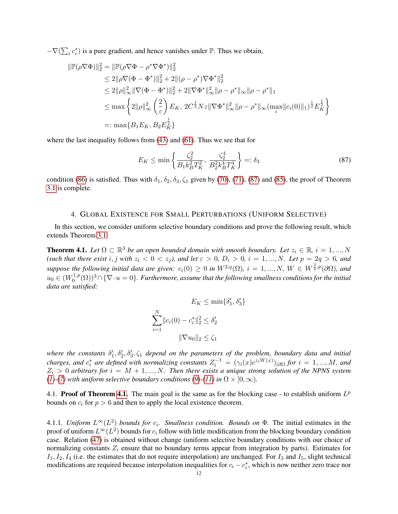$-\nabla(\sum_i c_i^*)$  is a pure gradient, and hence vanishes under  $\mathbb P$ . Thus we obtain,

$$
\begin{aligned} \|\mathbb{P}(\rho \nabla \Phi)\|_2^2 &= \|\mathbb{P}(\rho \nabla \Phi - \rho^* \nabla \Phi^*)\|_2^2 \\ &\le 2\|\rho \nabla (\Phi - \Phi^*)\|_2^2 + 2\|(\rho - \rho^*) \nabla \Phi^*\|_2^2 \\ &\le 2\|\rho\|_\infty^2 \|\nabla (\Phi - \Phi^*)\|_2^2 + 2\|\nabla \Phi^*\|_\infty^2 \|\rho - \rho^*\|_\infty \|\rho - \rho^*\|_1 \\ &\le \max \left\{ 2\|\rho\|_\infty^2 \left(\frac{2}{\varepsilon}\right) E_K, \ 2C^{\frac{1}{2}} Nz \|\nabla \Phi^*\|_\infty^2 \|\rho - \rho^*\|_\infty (\max_i \|c_i(0)\|_1)^{\frac{1}{2}} E_K^{\frac{1}{2}} \right\} \\ &=: \max \{ B_1 E_K, B_2 E_K^{\frac{1}{2}} \} \end{aligned}
$$

where the last inequality follows from [\(43\)](#page-5-2) and [\(61\)](#page-8-1). Thus we see that for

<span id="page-11-0"></span>
$$
E_K \le \min\left\{\frac{\zeta_2^2}{B_1 k_B^2 T_K^2}, \frac{\zeta_2^4}{B_2^2 k_B^4 T_K^4}\right\} =: \delta_3 \tag{87}
$$

condition [\(86\)](#page-10-0) is satisfied. Thus with  $\delta_1, \delta_2, \delta_3, \zeta_1$  given by [\(70\)](#page-8-0), [\(71\)](#page-9-0), [\(87\)](#page-11-0) and [\(85\)](#page-10-1), the proof of Theorem [3.1](#page-6-0) is complete.

# 4. GLOBAL EXISTENCE FOR SMALL PERTURBATIONS (UNIFORM SELECTIVE)

In this section, we consider uniform selective boundary conditions and prove the following result, which extends Theorem [3.1:](#page-6-0)

<span id="page-11-1"></span>**Theorem 4.1.** Let  $\Omega \subset \mathbb{R}^3$  be an open bounded domain with smooth boundary. Let  $z_i \in \mathbb{R}$ ,  $i = 1,...,N$ (such that there exist i, j with  $z_i < 0 < z_j$ ), and let  $\varepsilon > 0$ ,  $D_i > 0$ ,  $i = 1, ..., N$ . Let  $p = 2q > 6$ , and *suppose the following initial data are given:*  $c_i(0) \ge 0$  *in*  $W^{2,q}(\Omega)$ ,  $i = 1,...,N$ ,  $W \in W^{\frac{3}{2},p}(\partial \Omega)$ , and  $u_0 \in (W_0^{1,p}$  $\int_0^{1,p}(\Omega))^3\cap\{\nabla\cdot u=0\}.$  Furthermore, assume that the following smallness conditions for the initial *data are satisfied:*

$$
E_K \le \min\{\delta'_1, \delta'_3\}
$$

$$
\sum_{i=1}^N \|c_i(0) - c_i^*\|_2^2 \le \delta'_2
$$

$$
\|\nabla u_0\|_2 \le \zeta_1
$$

where the constants  $\delta'_1, \delta'_2, \delta'_3, \zeta_1$  depend on the parameters of the problem, boundary data and initial *charges, and*  $c_i^*$  are defined with normalizing constants  $Z_i^{-1} = (\gamma_i(x)e^{z_iW(x)})_{|\partial\Omega}$  for  $i = 1, ..., M$ , and  $Z_i > 0$  arbitrary for  $i = M + 1, ..., N$ . Then there exists a unique strong solution of the NPNS system *[\(1\)](#page-0-1)* $\cdot$ [\(7\)](#page-0-0) with uniform selective boundary conditions [\(9\)](#page-1-1) $\cdot$ [\(11\)](#page-1-2) in  $\Omega \times [0, \infty)$ .

4.1. Proof of Theorem [4.1.](#page-11-1) The main goal is the same as for the blocking case - to establish uniform  $L^p$ bounds on  $c_i$  for  $p > 6$  and then to apply the local existence theorem.

4.1.1. *Uniform*  $L^{\infty}(L^2)$  *bounds for*  $c_i$ . *Smallness condition. Bounds on*  $\Phi$ . The initial estimates in the proof of uniform  $L^\infty(L^2)$  bounds for  $c_i$  follow with little modification from the blocking boundary condition case. Relation [\(47\)](#page-6-2) is obtained without change (uniform selective boundary conditions with our choice of normalizing constants  $Z_i$  ensure that no boundary terms appear from integration by parts). Estimates for  $I_1, I_2, I_4$  (i.e. the estimates that do not require interpolation) are unchanged. For  $I_3$  and  $I_5$ , slight technical modifications are required because interpolation inequalities for  $c_i - c_i^*$ , which is now neither zero trace nor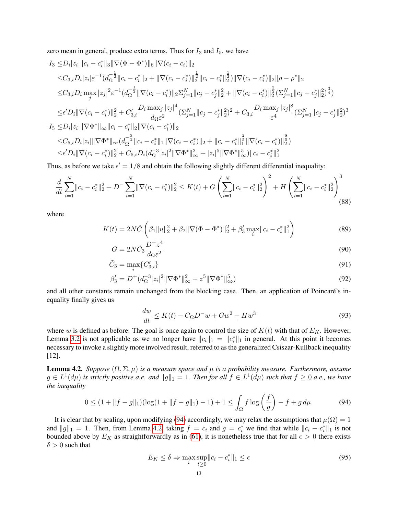zero mean in general, produce extra terms. Thus for  $I_3$  and  $I_5$ , we have

$$
I_{3} \leq D_{i}|z_{i}|||c_{i}-c_{i}^{*}||_{3}||\nabla(\Phi-\Phi^{*})||_{6}||\nabla(c_{i}-c_{i})||_{2}
$$
\n
$$
\leq C_{3,i}D_{i}|z_{i}|\varepsilon^{-1}(d_{\Omega}^{-\frac{1}{2}}||c_{i}-c_{i}^{*}||_{2}+||\nabla(c_{i}-c_{i}^{*})||_{2}^{\frac{1}{2}}||c_{i}-c_{i}^{*}||_{2}^{\frac{1}{2}})||\nabla(c_{i}-c_{i}^{*})||_{2}||\rho-\rho^{*}||_{2}
$$
\n
$$
\leq C_{3,i}D_{i}\max_{j}|z_{j}|^{2}\varepsilon^{-1}(d_{\Omega}^{-\frac{1}{2}}||\nabla(c_{i}-c_{i}^{*})||_{2}\Sigma_{j=1}^{N}||c_{j}-c_{j}^{*}||_{2}^{2}+||\nabla(c_{i}-c_{i}^{*})||_{2}^{\frac{3}{2}}(\Sigma_{j=1}^{N}||c_{j}-c_{j}^{*}||_{2}^{2})^{\frac{3}{4}})
$$
\n
$$
\leq \epsilon'D_{i}||\nabla(c_{i}-c_{i}^{*})||_{2}^{2}+C'_{3,i}\frac{D_{i}\max_{j}|z_{j}|^{4}}{d_{\Omega}\varepsilon^{2}}(\Sigma_{j=1}^{N}||c_{j}-c_{j}^{*}||_{2}^{2})^{2}+C_{3,i}\frac{D_{i}\max_{j}|z_{j}|^{8}}{\varepsilon^{4}}(\Sigma_{j=1}^{N}||c_{j}-c_{j}^{*}||_{2}^{2})^{3}
$$
\n
$$
I_{5}\leq D_{i}|z_{i}|||\nabla\Phi^{*}||_{\infty}||c_{i}-c_{i}^{*}||_{2}||\nabla(c_{i}-c_{i}^{*})||_{2}
$$
\n
$$
\leq C_{5,i}D_{i}|z_{i}|||\nabla\Phi^{*}||_{\infty}(d_{\Omega}^{-\frac{3}{2}}||c_{i}-c_{i}^{*}||_{1}||\nabla(c_{i}-c_{i}^{*})||_{2}+||c_{i}-c_{i}^{*}||_{1}^{\frac{2}{5}}||\nabla(c_{i}-c_{i}^{*})||_{2}^{\frac{8
$$

Thus, as before we take  $\epsilon' = 1/8$  and obtain the following slightly different differential inequality:

$$
\frac{d}{dt} \sum_{i=1}^{N} ||c_i - c_i^*||_2^2 + D \sum_{i=1}^{N} ||\nabla (c_i - c_i^*)||_2^2 \le K(t) + G \left(\sum_{i=1}^{N} ||c_i - c_i^*||_2^2\right)^2 + H \left(\sum_{i=1}^{N} ||c_i - c_i^*||_2^2\right)^3
$$
\n(88)

where

$$
K(t) = 2N\tilde{C}\left(\beta_1\|u\|_2^2 + \beta_2\|\nabla(\Phi - \Phi^*)\|_2^2 + \beta_3'\max_i\|c_i - c_i^*\|_1^2\right)
$$
(89)

$$
G = 2N\tilde{C}_3 \frac{D^+ z^4}{d\Omega \varepsilon^2} \tag{90}
$$

$$
\tilde{C}_3 = \max_i \{ C'_{3,i} \} \tag{91}
$$

$$
\beta_3' = D^+(d_{\Omega}^{-3}|z_i|^2 \|\nabla \Phi^*\|_{\infty}^2 + z^5 \|\nabla \Phi^*\|_{\infty}^5)
$$
\n(92)

and all other constants remain unchanged from the blocking case. Then, an application of Poincaré's inequality finally gives us

<span id="page-12-3"></span>
$$
\frac{dw}{dt} \le K(t) - C_{\Omega}D^{-}w + Gw^{2} + Hw^{3}
$$
\n(93)

where w is defined as before. The goal is once again to control the size of  $K(t)$  with that of  $E_K$ . However, Lemma [3.2](#page-8-5) is not applicable as we no longer have  $||c_i||_1 = ||c_i^*||_1$  in general. At this point it becomes necessary to invoke a slightly more involved result, referred to as the generalized Csiszar-Kullback inequality [12].

<span id="page-12-1"></span>**Lemma 4.2.** *Suppose*  $(\Omega, \Sigma, \mu)$  *is a measure space and*  $\mu$  *is a probability measure. Furthermore, assume*  $g \in L^1(d\mu)$  is strictly positive a.e. and  $||g||_1 = 1$ . Then for all  $f \in L^1(d\mu)$  such that  $f \geq 0$  a.e., we have *the inequality*

$$
0 \le (1 + \|f - g\|_1)(\log(1 + \|f - g\|_1) - 1) + 1 \le \int_{\Omega} f \log\left(\frac{f}{g}\right) - f + g \, d\mu. \tag{94}
$$

It is clear that by scaling, upon modifying [\(94\)](#page-12-0) accordingly, we may relax the assumptions that  $\mu(\Omega) = 1$ and  $||g||_1 = 1$ . Then, from Lemma [4.2,](#page-12-1) taking  $f = c_i$  and  $g = c_i^*$  we find that while  $||c_i - c_i^*||_1$  is not bounded above by  $E_K$  as straightforwardly as in [\(61\)](#page-8-1), it is nonetheless true that for all  $\epsilon > 0$  there exists  $\delta > 0$  such that

<span id="page-12-2"></span><span id="page-12-0"></span>
$$
E_K \le \delta \Rightarrow \max_i \sup_{t \ge 0} \|c_i - c_i^*\|_1 \le \epsilon \tag{95}
$$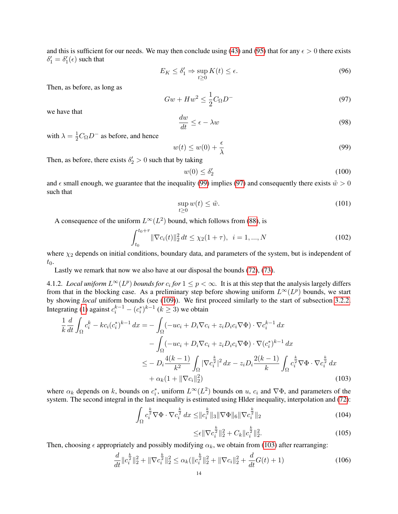and this is sufficient for our needs. We may then conclude using [\(43\)](#page-5-2) and [\(95\)](#page-12-2) that for any  $\epsilon > 0$  there exists  $\delta_1' = \delta_1'(\epsilon)$  such that

$$
E_K \le \delta_1' \Rightarrow \sup_{t \ge 0} K(t) \le \epsilon. \tag{96}
$$

Then, as before, as long as

<span id="page-13-1"></span>
$$
Gw + Hw^2 \le \frac{1}{2}C_{\Omega}D^-\tag{97}
$$

we have that

<span id="page-13-5"></span>
$$
\frac{dw}{dt} \le \epsilon - \lambda w \tag{98}
$$

with  $\lambda = \frac{1}{2}C_{\Omega}D^{-}$  as before, and hence

<span id="page-13-0"></span>
$$
w(t) \le w(0) + \frac{\epsilon}{\lambda} \tag{99}
$$

Then, as before, there exists  $\delta_2' > 0$  such that by taking

<span id="page-13-6"></span>
$$
w(0) \le \delta_2' \tag{100}
$$

and  $\epsilon$  small enough, we guarantee that the inequality [\(99\)](#page-13-0) implies [\(97\)](#page-13-1) and consequently there exists  $\tilde{w} > 0$ such that

<span id="page-13-3"></span>
$$
\sup_{t\geq 0} w(t) \leq \tilde{w}.\tag{101}
$$

A consequence of the uniform  $L^{\infty}(L^2)$  bound, which follows from [\(88\)](#page-12-3), is

$$
\int_{t_0}^{t_0+\tau} \|\nabla c_i(t)\|_2^2 dt \le \chi_2(1+\tau), \ \ i=1,...,N
$$
\n(102)

where  $\chi_2$  depends on initial conditions, boundary data, and parameters of the system, but is independent of  $t_0$ .

Lastly we remark that now we also have at our disposal the bounds [\(72\)](#page-9-6), [\(73\)](#page-9-7).

4.1.2. *Local uniform*  $L^{\infty}(L^p)$  *bounds for*  $c_i$  *for*  $1 \leq p < \infty$ . It is at this step that the analysis largely differs from that in the blocking case. As a preliminary step before showing uniform  $L^{\infty}(L^p)$  bounds, we start by showing *local* uniform bounds (see [\(109\)](#page-14-0)). We first proceed similarly to the start of subsection [3.2.2.](#page-9-8) Integrating [\(1\)](#page-0-1) against  $c_i^{k-1} - (c_i^*)^{k-1}$  ( $k \ge 3$ ) we obtain

$$
\frac{1}{k} \frac{d}{dt} \int_{\Omega} c_i^k - kc_i (c_i^*)^{k-1} dx = - \int_{\Omega} (-uc_i + D_i \nabla c_i + z_i D_i c_i \nabla \Phi) \cdot \nabla c_i^{k-1} dx \n- \int_{\Omega} (-uc_i + D_i \nabla c_i + z_i D_i c_i \nabla \Phi) \cdot \nabla (c_i^*)^{k-1} dx \n\leq - D_i \frac{4(k-1)}{k^2} \int_{\Omega} |\nabla c_i^{\frac{k}{2}}|^2 dx - z_i D_i \frac{2(k-1)}{k} \int_{\Omega} c_i^{\frac{k}{2}} \nabla \Phi \cdot \nabla c_i^{\frac{k}{2}} dx \n+ \alpha_k (1 + \|\nabla c_i\|_2^2)
$$
\n(103)

where  $\alpha_k$  depends on k, bounds on  $c_i^*$ , uniform  $L^{\infty}(L^2)$  bounds on u,  $c_i$  and  $\nabla \Phi$ , and parameters of the system. The second integral in the last inequality is estimated using Hlder inequality, interpolation and [\(72\)](#page-9-6):

$$
\int_{\Omega} c_i^{\frac{k}{2}} \nabla \Phi \cdot \nabla c_i^{\frac{k}{2}} dx \leq \|c_i^{\frac{k}{2}}\|_3 \|\nabla \Phi\|_6 \|\nabla c_i^{\frac{k}{2}}\|_2 \tag{104}
$$

<span id="page-13-4"></span><span id="page-13-2"></span>
$$
\leq \epsilon \|\nabla c_i^{\frac{k}{2}}\|_2^2 + C_k \|c_i^{\frac{k}{2}}\|_2^2. \tag{105}
$$

Then, choosing  $\epsilon$  appropriately and possibly modifying  $\alpha_k$ , we obtain from [\(103\)](#page-13-2) after rearranging:

$$
\frac{d}{dt} \|c_i^{\frac{k}{2}}\|_2^2 + \|\nabla c_i^{\frac{k}{2}}\|_2^2 \le \alpha_k (\|c_i^{\frac{k}{2}}\|_2^2 + \|\nabla c_i\|_2^2 + \frac{d}{dt}G(t) + 1) \tag{106}
$$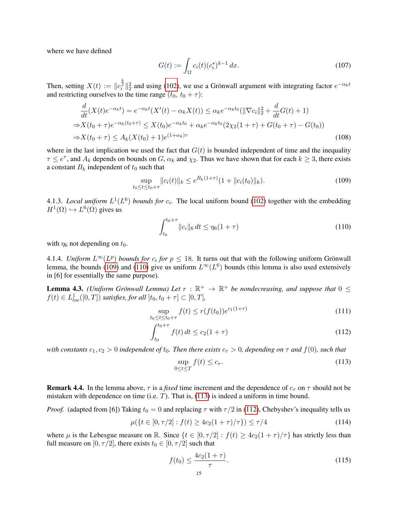where we have defined

$$
G(t) := \int_{\Omega} c_i(t) (c_i^*)^{k-1} dx.
$$
 (107)

Then, setting  $X(t) := \|c_i^{\frac{k}{2}}\|_2^2$  and using [\(102\)](#page-13-3), we use a Grönwall argument with integrating factor  $e^{-\alpha_k t}$ and restricting ourselves to the time range  $(t_0, t_0 + \tau)$ :

$$
\frac{d}{dt}(X(t)e^{-\alpha_k t}) = e^{-\alpha_k t}(X'(t) - \alpha_k X(t)) \le \alpha_k e^{-\alpha_k t_0}(\|\nabla c_i\|_2^2 + \frac{d}{dt}G(t) + 1)
$$
\n
$$
\Rightarrow X(t_0 + \tau)e^{-\alpha_k (t_0 + \tau)} \le X(t_0)e^{-\alpha_k t_0} + \alpha_k e^{-\alpha_k t_0}(2\chi_2(1 + \tau) + G(t_0 + \tau) - G(t_0))
$$
\n
$$
\Rightarrow X(t_0 + \tau) \le A_k(X(t_0) + 1)e^{(1 + \alpha_k)\tau}
$$
\n(108)

where in the last implication we used the fact that  $G(t)$  is bounded independent of time and the inequality  $\tau \leq e^{\tau}$ , and  $A_k$  depends on bounds on  $G$ ,  $\alpha_k$  and  $\chi_2$ . Thus we have shown that for each  $k \geq 3$ , there exists a constant  $B_k$  independent of  $t_0$  such that

$$
\sup_{t_0 \le t \le t_0 + \tau} \|c_i(t)\|_k \le e^{B_k(1+\tau)} (1 + \|c_i(t_0)\|_k). \tag{109}
$$

4.1.3. *Local uniform*  $L^1(L^6)$  *bounds for*  $c_i$ . The local uniform bound [\(102\)](#page-13-3) together with the embedding  $H^1(\Omega) \hookrightarrow L^6(\Omega)$  gives us

<span id="page-14-1"></span><span id="page-14-0"></span>
$$
\int_{t_0}^{t_0+\tau} ||c_i||_6 dt \le \eta_6(1+\tau)
$$
\n(110)

with  $\eta_6$  not depending on  $t_0$ .

4.1.4. *Uniform*  $L^{\infty}(L^p)$  *bounds for*  $c_i$  *for*  $p \leq 18$ . It turns out that with the following uniform Grönwall lemma, the bounds [\(109\)](#page-14-0) and [\(110\)](#page-14-1) give us uniform  $L^{\infty}(L^6)$  bounds (this lemma is also used extensively in [6] for essentially the same purpose).

**Lemma 4.3.** *(Uniform Grönwall Lemma) Let*  $r : \mathbb{R}^+ \to \mathbb{R}^+$  *be nondecreasing, and suppose that*  $0 \leq$  $f(t) \in L^{1}_{loc}([0, T])$  *satisfies, for all*  $[t_0, t_0 + \tau] \subset [0, T]$ *,* 

$$
\sup_{t_0 \le t \le t_0 + \tau} f(t) \le r(f(t_0))e^{c_1(1+\tau)} \tag{111}
$$

$$
\int_{t_0}^{t_0+\tau} f(t) dt \le c_2 (1+\tau) \tag{112}
$$

*with constants*  $c_1, c_2 > 0$  *independent of*  $t_0$ *. Then there exists*  $c_\tau > 0$ *, depending on*  $\tau$  *and*  $f(0)$ *, such that* 

<span id="page-14-4"></span><span id="page-14-3"></span><span id="page-14-2"></span>
$$
\sup_{0 \le t \le T} f(t) \le c_{\tau}.\tag{113}
$$

**Remark 4.4.** In the lemma above,  $\tau$  is a *fixed* time increment and the dependence of  $c_{\tau}$  on  $\tau$  should not be mistaken with dependence on time (i.e.  $T$ ). That is, [\(113\)](#page-14-2) is indeed a uniform in time bound.

*Proof.* (adapted from [6]) Taking  $t_0 = 0$  and replacing  $\tau$  with  $\tau/2$  in [\(112\)](#page-14-3), Chebyshev's inequality tells us

$$
\mu({t \in [0, \tau/2] : f(t) \ge 4c_2(1+\tau)/\tau}) \le \tau/4
$$
\n(114)

where  $\mu$  is the Lebesgue measure on R. Since  $\{t \in [0, \tau/2] : f(t) \geq 4c_2(1+\tau)/\tau\}$  has strictly less than full measure on [0,  $\tau/2$ ], there exists  $t_0 \in [0, \tau/2]$  such that

<span id="page-14-5"></span>
$$
f(t_0) \le \frac{4c_2(1+\tau)}{\tau}.
$$
\n(115)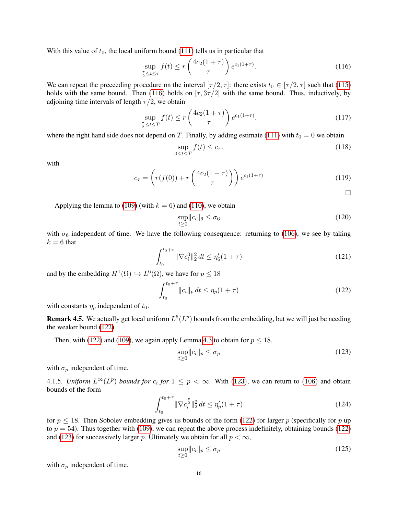With this value of  $t_0$ , the local uniform bound [\(111\)](#page-14-4) tells us in particular that

$$
\sup_{\frac{\tau}{2} \le t \le \tau} f(t) \le r \left( \frac{4c_2(1+\tau)}{\tau} \right) e^{c_1(1+\tau)}.
$$
\n(116)

We can repeat the preceeding procedure on the interval  $[\tau/2, \tau]$ : there exists  $t_0 \in [\tau/2, \tau]$  such that [\(115\)](#page-14-5) holds with the same bound. Then [\(116\)](#page-15-0) holds on  $[\tau, 3\tau/2]$  with the same bound. Thus, inductively, by adjoining time intervals of length  $\tau/2$ , we obtain

$$
\sup_{\frac{\tau}{2} \le t \le T} f(t) \le r \left( \frac{4c_2(1+\tau)}{\tau} \right) e^{c_1(1+\tau)}.
$$
\n(117)

where the right hand side does not depend on T. Finally, by adding estimate [\(111\)](#page-14-4) with  $t_0 = 0$  we obtain

$$
\sup_{0 \le t \le T} f(t) \le c_{\tau}.\tag{118}
$$

with

$$
c_{\tau} = \left( r(f(0)) + r\left(\frac{4c_2(1+\tau)}{\tau}\right) \right) e^{c_1(1+\tau)}
$$
(119)

<span id="page-15-2"></span><span id="page-15-1"></span><span id="page-15-0"></span> $\Box$ 

Applying the lemma to [\(109\)](#page-14-0) (with  $k = 6$ ) and [\(110\)](#page-14-1), we obtain

$$
\sup_{t\geq 0} \|c_i\|_6 \leq \sigma_6 \tag{120}
$$

with  $\sigma_6$  independent of time. We have the following consequence: returning to [\(106\)](#page-13-4), we see by taking  $k = 6$  that

$$
\int_{t_0}^{t_0+\tau} \|\nabla c_i^3\|_2^2 dt \le \eta_6'(1+\tau)
$$
\n(121)

and by the embedding  $H^1(\Omega) \hookrightarrow L^6(\Omega)$ , we have for  $p \leq 18$ 

$$
\int_{t_0}^{t_0+\tau} ||c_i||_p dt \le \eta_p (1+\tau)
$$
\n(122)

with constants  $\eta_p$  independent of  $t_0$ .

**Remark 4.5.** We actually get local uniform  $L^6(L^p)$  bounds from the embedding, but we will just be needing the weaker bound [\(122\)](#page-15-1).

Then, with [\(122\)](#page-15-1) and [\(109\)](#page-14-0), we again apply Lemma [4.3](#page-14-2) to obtain for  $p \le 18$ ,

$$
\sup_{t\geq 0} \|c_i\|_p \leq \sigma_p \tag{123}
$$

with  $\sigma_p$  independent of time.

4.1.5. *Uniform*  $L^{\infty}(L^p)$  *bounds for*  $c_i$  *for*  $1 \leq p < \infty$ . With [\(123\)](#page-15-2), we can return to [\(106\)](#page-13-4) and obtain bounds of the form

$$
\int_{t_0}^{t_0+\tau} \|\nabla c_i^{\frac{p}{2}}\|_2^2 dt \le \eta_p'(1+\tau)
$$
\n(124)

for  $p \le 18$ . Then Sobolev embedding gives us bounds of the form [\(122\)](#page-15-1) for larger p (specifically for p up to  $p = 54$ ). Thus together with [\(109\)](#page-14-0), we can repeat the above process indefinitely, obtaining bounds [\(122\)](#page-15-1) and [\(123\)](#page-15-2) for successively larger p. Ultimately we obtain for all  $p < \infty$ ,

$$
\sup_{t\geq 0} \|c_i\|_p \leq \sigma_p \tag{125}
$$

with  $\sigma_p$  independent of time.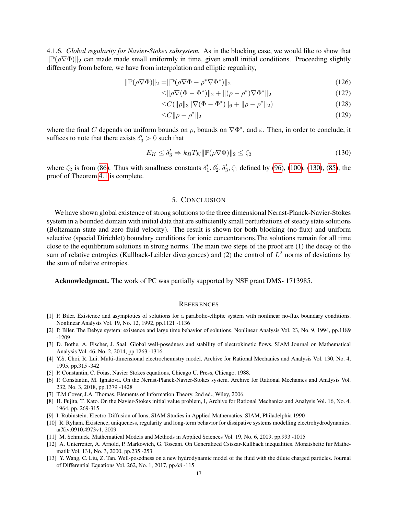4.1.6. *Global regularity for Navier-Stokes subsystem.* As in the blocking case, we would like to show that  $\|\mathbb{P}(\rho \nabla \Phi)\|_2$  can made made small uniformly in time, given small initial conditions. Proceeding slightly differently from before, we have from interpolation and elliptic regualrity,

$$
\|\mathbb{P}(\rho \nabla \Phi)\|_2 = \|\mathbb{P}(\rho \nabla \Phi - \rho^* \nabla \Phi^*)\|_2 \tag{126}
$$

$$
\leq ||\rho \nabla (\Phi - \Phi^*)||_2 + ||(\rho - \rho^*) \nabla \Phi^*||_2 \tag{127}
$$

$$
\leq C(||\rho||_3 ||\nabla (\Phi - \Phi^*)||_6 + ||\rho - \rho^*||_2)
$$
\n(128)

$$
\leq C \|\rho - \rho^*\|_2 \tag{129}
$$

where the final C depends on uniform bounds on  $\rho$ , bounds on  $\nabla \Phi^*$ , and  $\varepsilon$ . Then, in order to conclude, it suffices to note that there exists  $\delta'_3 > 0$  such that

$$
E_K \le \delta_3' \Rightarrow k_B T_K \|\mathbb{P}(\rho \nabla \Phi)\|_2 \le \zeta_2 \tag{130}
$$

where  $\zeta_2$  is from [\(86\)](#page-10-0). Thus with smallness constants  $\delta'_1$ ,  $\delta'_2$ ,  $\delta'_3$ ,  $\zeta_1$  defined by [\(96\)](#page-13-5), [\(100\)](#page-13-6), [\(130\)](#page-16-0), [\(85\)](#page-10-1), the proof of Theorem [4.1](#page-11-1) is complete.

# <span id="page-16-0"></span>5. CONCLUSION

We have shown global existence of strong solutions to the three dimensional Nernst-Planck-Navier-Stokes system in a bounded domain with initial data that are sufficiently small perturbations of steady state solutions (Boltzmann state and zero fluid velocity). The result is shown for both blocking (no-flux) and uniform selective (special Dirichlet) boundary conditions for ionic concentrations.The solutions remain for all time close to the equilibrium solutions in strong norms. The main two steps of the proof are (1) the decay of the sum of relative entropies (Kullback-Leibler divergences) and (2) the control of  $L^2$  norms of deviations by the sum of relative entropies.

Acknowledgment. The work of PC was partially supported by NSF grant DMS- 1713985.

#### **REFERENCES**

- [1] P. Biler. Existence and asymptotics of solutions for a parabolic-elliptic system with nonlinear no-flux boundary conditions. Nonlinear Analysis Vol. 19, No. 12, 1992, pp.1121 -1136
- [2] P. Biler. The Debye system: existence and large time behavior of solutions. Nonlinear Analysis Vol. 23, No. 9, 1994, pp.1189 -1209
- [3] D. Bothe, A. Fischer, J. Saal. Global well-posedness and stability of electrokinetic flows. SIAM Journal on Mathematical Analysis Vol. 46, No. 2, 2014, pp.1263 -1316
- [4] Y.S. Choi, R. Lui. Multi-dimensional electrochemistry model. Archive for Rational Mechanics and Analysis Vol. 130, No. 4, 1995, pp.315 -342
- [5] P. Constantin, C. Foias, Navier Stokes equations, Chicago U. Press, Chicago, 1988.
- [6] P. Constantin, M. Ignatova. On the Nernst-Planck-Navier-Stokes system. Archive for Rational Mechanics and Analysis Vol. 232, No. 3, 2018, pp.1379 -1428
- [7] T.M Cover, J.A. Thomas. Elements of Information Theory. 2nd ed., Wiley, 2006.
- [8] H. Fujita, T. Kato. On the Navier-Stokes initial value problem, I, Archive for Rational Mechanics and Analysis Vol. 16, No. 4, 1964, pp. 269-315
- [9] I. Rubinstein. Electro-Diffusion of Ions, SIAM Studies in Applied Mathematics, SIAM, Philadelphia 1990
- [10] R. Ryham. Existence, uniqueness, regularity and long-term behavior for dissipative systems modelling electrohydrodynamics. arXiv:0910.4973v1, 2009
- [11] M. Schmuck. Mathematical Models and Methods in Applied Sciences Vol. 19, No. 6, 2009, pp.993 -1015
- [12] A. Unterreiter, A. Arnold, P. Markowich, G. Toscani. On Generalized Csiszar-Kullback inequalities. Monatshefte fur Mathematik Vol. 131, No. 3, 2000, pp.235 -253
- [13] Y. Wang, C. Liu, Z. Tan. Well-posedness on a new hydrodynamic model of the fluid with the dilute charged particles. Journal of Differential Equations Vol. 262, No. 1, 2017, pp.68 -115